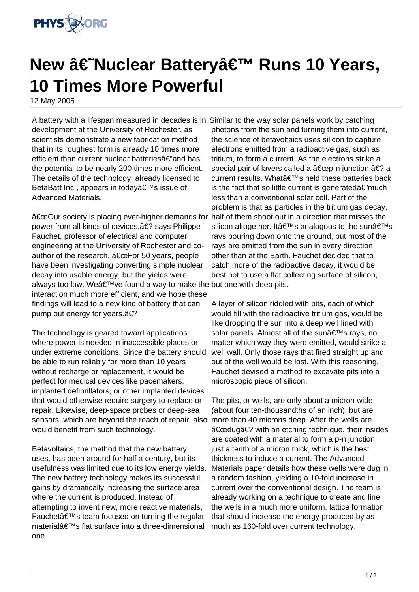

## **New †Nuclear Battery' Runs 10 Years, 10 Times More Powerful**

12 May 2005

A battery with a lifespan measured in decades is in Similar to the way solar panels work by catching development at the University of Rochester, as scientists demonstrate a new fabrication method that in its roughest form is already 10 times more efficient than current nuclear batteries $a \in \mathbb{Z}$  and has the potential to be nearly 200 times more efficient. The details of the technology, already licensed to BetaBatt Inc., appears in today's issue of Advanced Materials.

"Our society is placing ever-higher demands for half of them shoot out in a direction that misses the power from all kinds of devices, a€? says Philippe Fauchet, professor of electrical and computer engineering at the University of Rochester and coauthor of the research.  $\hat{a} \in \text{ceFor 50 years},$  people have been investigating converting simple nuclear decay into usable energy, but the yields were always too low. Weâ€<sup>™</sup>ve found a way to make the but one with deep pits. interaction much more efficient, and we hope these findings will lead to a new kind of battery that can pump out energy for years. $a \in ?$ 

The technology is geared toward applications where power is needed in inaccessible places or under extreme conditions. Since the battery should be able to run reliably for more than 10 years without recharge or replacement, it would be perfect for medical devices like pacemakers, implanted defibrillators, or other implanted devices that would otherwise require surgery to replace or repair. Likewise, deep-space probes or deep-sea sensors, which are beyond the reach of repair, also would benefit from such technology.

Betavoltaics, the method that the new battery uses, has been around for half a century, but its usefulness was limited due to its low energy yields. The new battery technology makes its successful gains by dramatically increasing the surface area where the current is produced. Instead of attempting to invent new, more reactive materials, Fauchet $a \in T^M$ s team focused on turning the regular materialâ€<sup>™</sup>s flat surface into a three-dimensional one.

photons from the sun and turning them into current, the science of betavoltaics uses silicon to capture electrons emitted from a radioactive gas, such as tritium, to form a current. As the electrons strike a special pair of layers called a  $\hat{a} \in \text{cep-n}$  junction, $\hat{a} \in ?$  a current results. What's held these batteries back is the fact that so little current is generated $\hat{a} \in \text{much}$ less than a conventional solar cell. Part of the problem is that as particles in the tritium gas decay, silicon altogether. It's analogous to the sun's rays pouring down onto the ground, but most of the rays are emitted from the sun in every direction other than at the Earth. Fauchet decided that to catch more of the radioactive decay, it would be best not to use a flat collecting surface of silicon,

A layer of silicon riddled with pits, each of which would fill with the radioactive tritium gas, would be like dropping the sun into a deep well lined with solar panels. Almost all of the sun's rays, no matter which way they were emitted, would strike a well wall. Only those rays that fired straight up and out of the well would be lost. With this reasoning, Fauchet devised a method to excavate pits into a microscopic piece of silicon.

The pits, or wells, are only about a micron wide (about four ten-thousandths of an inch), but are more than 40 microns deep. After the wells are "dug� with an etching technique, their insides are coated with a material to form a p-n junction just a tenth of a micron thick, which is the best thickness to induce a current. The Advanced Materials paper details how these wells were dug in a random fashion, yielding a 10-fold increase in current over the conventional design. The team is already working on a technique to create and line the wells in a much more uniform, lattice formation that should increase the energy produced by as much as 160-fold over current technology.